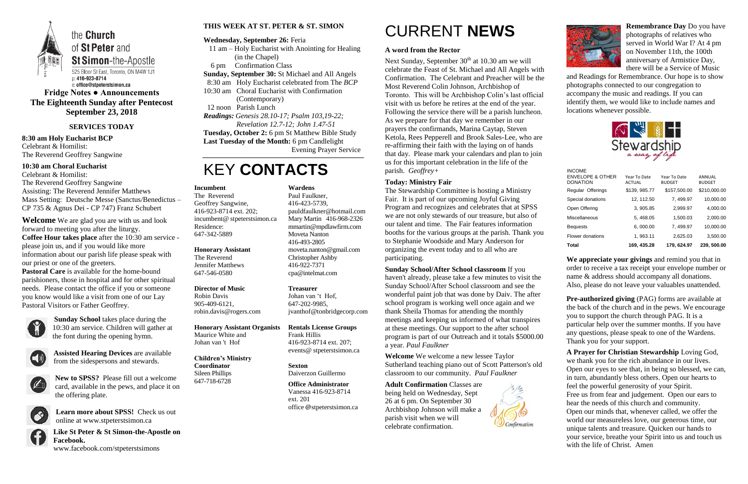

**Fridge Notes ● Announcements The Eighteenth Sunday after Pentecost September 23, 2018**

### **SERVICES TODAY**

**8:30 am Holy Eucharist BCP** Celebrant & Homilist: The Reverend Geoffrey Sangwine

**10:30 am Choral Eucharist** Celebrant & Homilist: The Reverend Geoffrey Sangwine Assisting: The Reverend Jennifer Matthews Mass Setting: Deutsche Messe (Sanctus/Benedictus –

CP 735 & Agnus Dei - CP 747) Franz Schubert

**Welcome** We are glad you are with us and look forward to meeting you after the liturgy. **Coffee Hour takes place** after the 10:30 am service please join us, and if you would like more information about our parish life please speak with our priest or one of the greeters.

**Pastoral Care** is available for the home-bound parishioners, those in hospital and for other spiritual needs. Please contact the office if you or someone you know would like a visit from one of our Lay Pastoral Visitors or Father Geoffrey.



**Sunday School** takes place during the 10:30 am service. Children will gather at the font during the opening hymn.



**Assisted Hearing Devices** are available from the sidespersons and stewards.



**New to SPSS?** Please fill out a welcome card, available in the pews, and place it on the offering plate.



**Learn more about SPSS!** Check us out online at www.stpeterstsimon.ca

**Like St Peter & St Simon-the-Apostle on Facebook.** 

Next Sunday, September  $30<sup>th</sup>$  at 10.30 am we will celebrate the Feast of St. Michael and All Angels with Confirmation. The Celebrant and Preacher will be the Most Reverend Colin Johnson, Archbishop of Toronto. This will be Archbishop Colin's last official visit with us before he retires at the end of the year. Following the service there will be a parish luncheon. As we prepare for that day we remember in our prayers the confirmands, Marina Caytap, Steven Ketola, Rees Pepperell and Brook Sales-Lee, who are re-affirming their faith with the laying on of hands that day. Please mark your calendars and plan to join us for this important celebration in the life of the parish. *Geoffrey+*

www.facebook.com/stpeterstsimons

### **THIS WEEK AT ST. PETER & ST. SIMON**

### **Wednesday, September 26:** Feria

- 11 am Holy Eucharist with Anointing for Healing (in the Chapel)
- 6 pm Confirmation Class
- **Sunday, September 30:** St Michael and All Angels
- 8:30 am Holy Eucharist celebrated from The *BCP*
- 10:30 am Choral Eucharist with Confirmation
	- (Contemporary)
- 12 noon Parish Lunch
- *Readings: Genesis 28.10-17; Psalm 103,19-22; Revelation 12.7-12; John 1.47-51*

**Tuesday, October 2:** 6 pm St Matthew Bible Study **Last Tuesday of the Month:** 6 pm Candlelight

Evening Prayer Service

# KEY **CONTACTS**

# CURRENT **NEWS**

### **A word from the Rector**

### **Today: Ministry Fair**

The Stewardship Committee is hosting a Ministry Fair. It is part of our upcoming Joyful Giving Program and recognizes and celebrates that at SPSS we are not only stewards of our treasure, but also of our talent and time. The Fair features information booths for the various groups at the parish. Thank you to Stephanie Woodside and Mary Anderson for organizing the event today and to all who are participating.

### **Sunday School/After School classroom** If you

haven't already, please take a few minutes to visit the Sunday School/After School classroom and see the wonderful paint job that was done by Daiv. The after school program is working well once again and we thank Sheila Thomas for attending the monthly meetings and keeping us informed of what transpires at these meetings. Our support to the after school program is part of our Outreach and it totals \$5000.00 a year. *Paul Faulkner*

**Welcome** We welcome a new lessee Taylor Sutherland teaching piano out of Scott Patterson's old classroom to our community. *Paul Faulkner*

**Adult Confirmation** Classes are

being held on Wednesday, Sept 26 at 6 pm. On September 30 Archbishop Johnson will make a parish visit when we will celebrate confirmation.





**Remembrance Day** Do you have photographs of relatives who served in World War I? At 4 pm on November 11th, the 100th anniversary of Armistice Day, there will be a Service of Music

and Readings for Remembrance. Our hope is to show photographs connected to our congregation to accompany the music and readings. If you can identify them, we would like to include names and locations whenever possible.



**We appreciate your givings** and remind you that in order to receive a tax receipt your envelope number or name & address should accompany all donations. Also, please do not leave your valuables unattended.

**Pre-authorized giving** (PAG) forms are available at the back of the church and in the pews. We encourage you to support the church through PAG. It is a particular help over the summer months. If you have any questions, please speak to one of the Wardens. Thank you for your support.

**A Prayer for Christian Stewardship** Loving God, we thank you for the rich abundance in our lives. Open our eyes to see that, in being so blessed, we can, in turn, abundantly bless others. Open our hearts to feel the powerful generosity of your Spirit. Free us from fear and judgement. Open our ears to hear the needs of this church and community. Open our minds that, whenever called, we offer the world our measureless love, our generous time, our unique talents and treasure. Quicken our hands to your service, breathe your Spirit into us and touch us with the life of Christ. Amen

### **Incumbent**

The Reverend Geoffrey Sangwine, 416-923-8714 ext. 202; incumbent@ stpeterstsimon.ca Residence: 647-342-5889

### **Honorary Assistant**

The Reverend Jennifer Matthews 647-546-0580

### **Director of Music**

Robin Davis 905-409-6121, robin.davis@rogers.com

#### **Honorary Assistant Organists**  Maurice White and

Johan van 't Hof

#### **Children's Ministry Coordinator**

Sileen Phillips 647-718-6728

### **Wardens**

Paul Faulkner, 416-423-5739, [pauldfaulkner@hotmail.com](mailto:pauldfaulkner@hotmail.com)  Mary Martin 416-968-2326 mmartin@mpdlawfirm.com Moveta Nanton 416-493-2805 moveta.nanton@gmail.com Christopher Ashby 416-922-7371 cpa@intelmat.com

### **Treasurer**  Johan van 't Hof,

647-202-9985, jvanthof@tonbridgecorp.com

**Rentals License Groups** Frank Hillis 416-923-8714 ext. 207; events@ stpeterstsimon.ca

**Sexton** Daiverzon Guillermo

**Office Administrator** Vanessa 416-923-8714 ext. 201 office @stpeterstsimon.ca

| Total                                                           | 169.435.28                    | 179.624.97                    | 239, 500,00             |
|-----------------------------------------------------------------|-------------------------------|-------------------------------|-------------------------|
| Flower donations                                                | 1, 963.11                     | 2,625.03                      | 3,500.00                |
| <b>Bequests</b>                                                 | 6,000.00                      | 7, 499.97                     | 10,000.00               |
| <b>Miscellaneous</b>                                            | 5, 468.05                     | 1.500.03                      | 2,000.00                |
| Open Offering                                                   | 3, 905.85                     | 2,999.97                      | 4,000.00                |
| Special donations                                               | 12, 112.50                    | 7, 499.97                     | 10,000.00               |
| Regular Offerings                                               | \$139, 985.77                 | \$157,500.00                  | \$210,000.00            |
| <b>INCOME</b><br><b>ENVELOPE &amp; OTHER</b><br><b>DONATION</b> | Year To Date<br><b>ACTUAL</b> | Year To Date<br><b>BUDGET</b> | ANNUAL<br><b>BUDGET</b> |